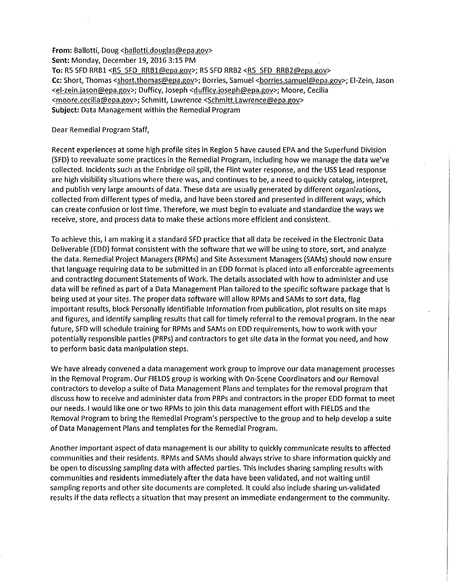From: Ballotti, Doug <ballotti.douglas@epa.gov> **Sent:** Monday, December 19, 2016 3:1S PM **To:** RS SFD RRB1 <RS SFD RRB1@epa.gov>; RS SFD RRB2 <RS SFD RRB2@epa.gov> Cc: Short, Thomas <short.thomas@epa.gov>; Borries, Samuel <borries.samuel@epa.gov>; El-Zein, Jason <el-zein.jason@epa.gov>; Dufficy, Joseph <dufficy.joseph@epa.gov>; Moore, Cecilia <moore.cecilia@epa.gov>; Schmitt, Lawrence <Schmitt.Lawrence@epa.gov> **Subject:** Data Management within the Remedial Program

Dear Remedial Program Staff,

Recent experiences at some high profile sites in Region S have caused EPA and the Superfund Division (SFD) to reevaluate some practices in the Remedial Program, including how we manage the data we've collected. Incidents such as the Enbridge oil spill, the Flint water response, and the USS Lead response are high visibility situations where there was, and continues to be, a need to quickly catalog, interpret, and publish very large amounts of data. These data are usually generated by different organizations, collected from different types of media, and have been stored and presented in different ways, which can create confusion or lost time. Therefore, we must begin to evaluate and standardize the ways we receive, store, and process data to make these actions more efficient and consistent.

To achieve this, I am making it a standard SFD practice that all data be received in the Electronic Data Deliverable (EDD) format consistent with the software that we will be using to store, sort, and analyze the data. Remedial Project Managers (RPMs) and Site Assessment Managers (SAMs) should now ensure that language requiring data to be submitted in an EDD format is placed into all enforceable agreements and contracting document Statements of Work. The details associated with how to administer and use data will be refined as part of a Data Management Plan tailored to the specific software package that is being used at your sites. The proper data software will allow RPMs and SAMs to sort data, flag important results, block Personally Identifiable Information from publication, plot results on site maps and figures, and identify sampling results that call for timely referral to the removal program. In the near future, SFD will schedule training for RPMs and SAMs on EDD requirements, how to work with your potentially responsible parties (PRPs) and contractors to get site data in the format you need, and how to perform basic data manipulation steps.

We have already convened a data management work group to improve our data management processes in the Removal Program. Our FIELDS group is working with On-Scene Coordinators and our Removal contractors to develop a suite of Data Management Plans and templates for the removal program that discuss how to receive and administer data from PRPs and contractors in the proper EDD format to meet our needs. I would like one or two RPMs to join this data management effort with FIELDS and the Removal Program to bring the Remedial Program's perspective to the group and to help develop a suite of Data Management Plans and templates for the Remedial Program.

Another important aspect of data management is our ability to quickly communicate results to affected communities and their residents. RPMs and SAMs should always strive to share information quickly and be open to discussing sampling data with affected parties. This includes sharing sampling results with communities and residents immediately after the data have been validated, and not waiting until sampling reports and other site documents are completed. It could also include sharing un-validated results if the data reflects a situation that may present an immediate endangerment to the community.